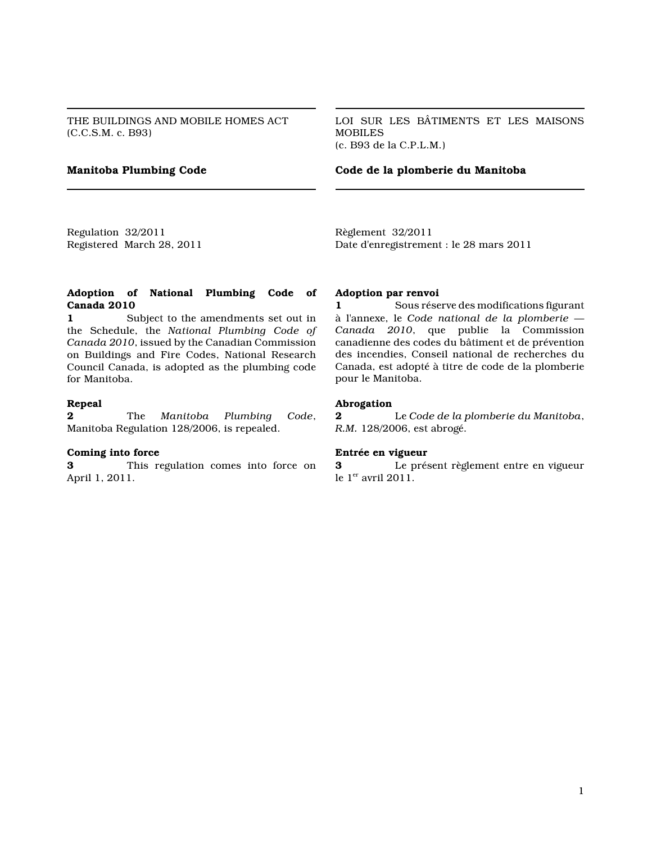THE BUILDINGS AND MOBILE HOMES ACT (C.C.S.M. c. B93)

LOI SUR LES BÂTIMENTS ET LES MAISONS **MOBILES** (c. B93 de la C.P.L.M.)

**Manitoba Plumbing Code Code de la plomberie du Manitoba**

Regulation 32/2011 Registered March 28, 2011 Règlement 32/2011 Date d'enregistrement : le 28 mars 2011

#### **Adoption of National Plumbing Code of Canada 2010**

**1** Subject to the amendments set out in the Schedule, the *National Plumbing Code of Canada 2010*, issued by the Canadian Commission on Buildings and Fire Codes, National Research Council Canada, is adopted as the plumbing code for Manitoba.

#### **Repeal**

**2** The *Manitoba Plumbing Code*, Manitoba Regulation 128/2006, is repealed.

#### **Coming into force**

**3** This regulation comes into force on April 1, 2011.

#### **Adoption par renvoi**

**1** Sous réserve des modifications figurant à l'annexe, le *Code national de la plomberie — Canada 2010*, que publie la Commission canadienne des codes du bâtiment et de prévention des incendies, Conseil national de recherches du Canada, est adopté à titre de code de la plomberie pour le Manitoba.

#### **Abrogation**

**2** Le *Code de la plomberie du Manitoba*, *R.M.* 128/2006, est abrogé.

#### **Entrée en vigueur**

**3** Le présent règlement entre en vigueur le  $1<sup>er</sup>$  avril 2011.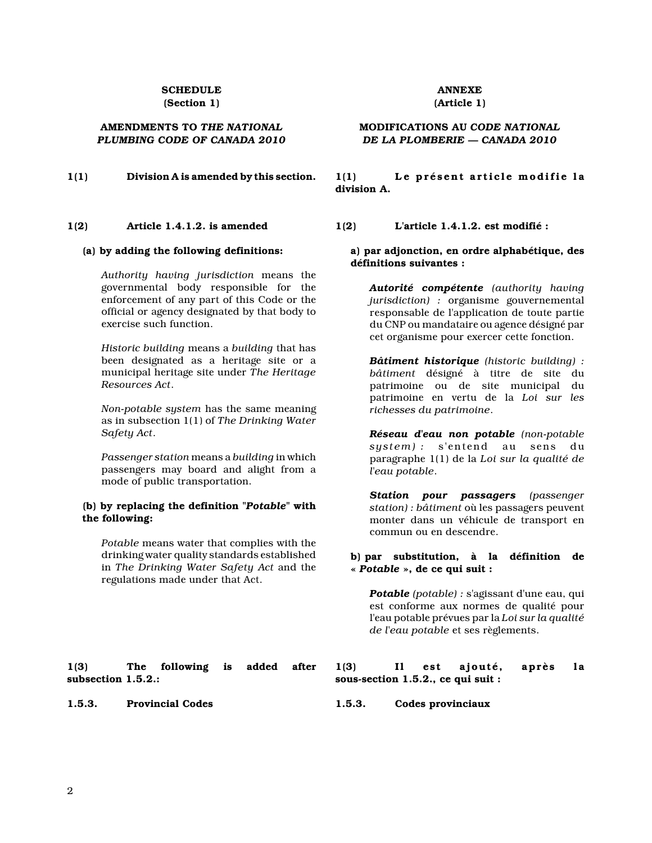#### **SCHEDULE (Section 1)**

#### **AMENDMENTS TO** *THE NATIONAL PLUMBING CODE OF CANADA 2010*

#### **1(2) Article 1.4.1.2. is amended**

#### **(a) by adding the following definitions:**

*Authority having jurisdiction* means the governmental body responsible for the enforcement of any part of this Code or the official or agency designated by that body to exercise such function.

*Historic building* means a *building* that has been designated as a heritage site or a municipal heritage site under *The Heritage Resources Act*.

*Non-potable system* has the same meaning as in subsection 1(1) of *The Drinking Water Safety Act*.

*Passenger station* means a *building* in which passengers may board and alight from a mode of public transportation.

#### **(b) by replacing the definition "***Potable***" with the following:**

*Potable* means water that complies with the drinking water quality standards established in *The Drinking Water Safety Act* and the regulations made under that Act.

#### **1(3) The following is added after subsection 1.5.2.:**

## **ANNEXE**

## **(Article 1)**

#### **MODIFICATIONS AU** *CODE NATIONAL DE LA PLOMBERIE — CANADA 2010*

**1(1)** Division A is amended by this section. 1(1) Le présent article modifie la **division A.**

**1(2) L'article 1.4.1.2. est modifié :**

#### **a) par adjonction, en ordre alphabétique, des définitions suivantes :**

*Autorité compétente (authority having jurisdiction) :* organisme gouvernemental responsable de l'application de toute partie du CNP ou mandataire ou agence désigné par cet organisme pour exercer cette fonction.

*Bâtiment historique (historic building) : bâtiment* désigné à titre de site du patrimoine ou de site municipal du patrimoine en vertu de la *Loi sur les richesses du patrimoine*.

*Réseau d'eau non potable (non-potable system) :* s'entend au sens du paragraphe 1(1) de la *Loi sur la qualité de l'eau potable*.

*Station pour passagers (passenger station) : bâtiment* où les passagers peuvent monter dans un véhicule de transport en commun ou en descendre.

#### **b) par substitution, à la définition de «** *Potable* **», de ce qui suit :**

*Potable (potable) :* s'agissant d'une eau, qui est conforme aux normes de qualité pour l'eau potable prévues par la *Loi sur la qualité de l'eau potable* et ses règlements.

#### **1(3) Il est ajouté, après la sous-section 1.5.2., ce qui suit :**

**1.5.3. Provincial Codes 1.5.3. Codes provinciaux**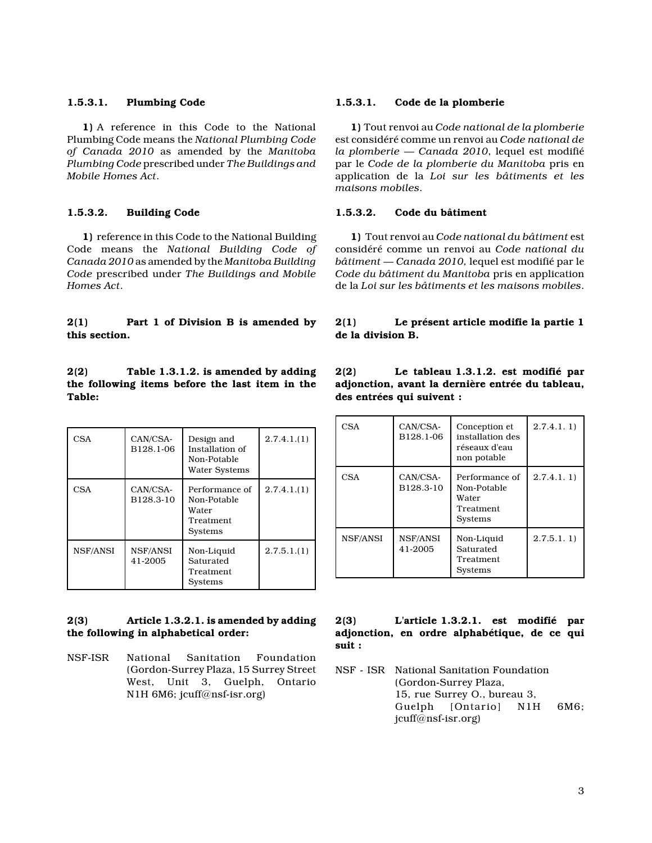#### **1.5.3.1. Plumbing Code**

**1)** A reference in this Code to the National Plumbing Code means the *National Plumbing Code of Canada 2010* as amended by the *Manitoba Plumbing Code* prescribed under *The Buildings and Mobile Homes Act*.

#### **1.5.3.2. Building Code**

**1)** reference in this Code to the National Building Code means the *National Building Code of Canada 2010* as amended by the *Manitoba Building Code* prescribed under *The Buildings and Mobile Homes Act*.

#### **2(1) Part 1 of Division B is amended by this section.**

**2(2) Table 1.3.1.2. is amended by adding the following items before the last item in the Table:**

| CSA      | CAN/CSA-<br>B128.1-06 | Design and<br>Installation of<br>Non-Potable<br><b>Water Systems</b> | 2.7.4.1(1) |
|----------|-----------------------|----------------------------------------------------------------------|------------|
| CSA      | CAN/CSA-<br>B128.3-10 | Performance of<br>Non-Potable<br>Water<br>Treatment<br>Systems       | 2.7.4.1(1) |
| NSF/ANSI | NSF/ANSI<br>41-2005   | Non-Liquid<br>Saturated<br>Treatment<br>Systems                      | 2.7.5.1(1) |

#### **2(3) Article 1.3.2.1. is amended by adding the following in alphabetical order:**

NSF-ISR National Sanitation Foundation (Gordon-Surrey Plaza, 15 Surrey Street West, Unit 3, Guelph, Ontario N1H 6M6; jcuff@nsf-isr.org)

#### **1.5.3.1. Code de la plomberie**

**1)** Tout renvoi au *Code national de la plomberie* est considéré comme un renvoi au *Code national de la plomberie — Canada 2010*, lequel est modifié par le *Code de la plomberie du Manitoba* pris en application de la *Loi sur les bâtiments et les maisons mobiles*.

#### **1.5.3.2. Code du bâtiment**

**1)** Tout renvoi au *Code national du bâtiment* est considéré comme un renvoi au *Code national du bâtiment — Canada 2010,* lequel est modifié par le *Code du bâtiment du Manitoba* pris en application de la *Loi sur les bâtiments et les maisons mobiles*.

#### **2(1) Le présent article modifie la partie 1 de la division B.**

**2(2) Le tableau 1.3.1.2. est modifié par adjonction, avant la dernière entrée du tableau, des entrées qui suivent :**

| CSA        | CAN/CSA-<br>B128.1-06 | Conception et<br>installation des<br>réseaux d'eau<br>non potable | 2.7.4.1.1) |
|------------|-----------------------|-------------------------------------------------------------------|------------|
| <b>CSA</b> | CAN/CSA-<br>B128.3-10 | Performance of<br>Non-Potable<br>Water<br>Treatment<br>Systems    | 2.7.4.1.1  |
| NSF/ANSI   | NSF/ANSI<br>41-2005   | Non-Liquid<br>Saturated<br>Treatment<br>Systems                   | 2.7.5.1.1) |

#### **2(3) L'article 1.3.2.1. est modifié par adjonction, en ordre alphabétique, de ce qui suit :**

NSF - ISR National Sanitation Foundation (Gordon-Surrey Plaza, 15, rue Surrey O., bureau 3, Guelph [Ontario] N1H 6M6; jcuff@nsf-isr.org)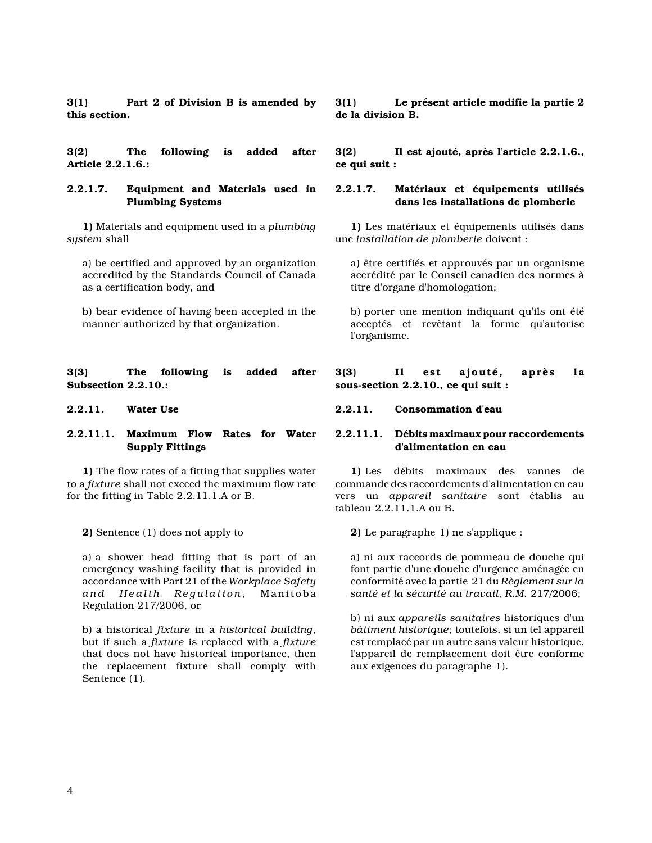**3(1) Part 2 of Division B is amended by this section.**

**3(2) The following is added after Article 2.2.1.6.:**

#### **2.2.1.7. Equipment and Materials used in Plumbing Systems**

**1)** Materials and equipment used in a *plumbing system* shall

a) be certified and approved by an organization accredited by the Standards Council of Canada as a certification body, and

b) bear evidence of having been accepted in the manner authorized by that organization.

**3(3) The following is added after Subsection 2.2.10.:**

#### **2.2.11.1. Maximum Flow Rates for Water Supply Fittings**

**1)** The flow rates of a fitting that supplies water to a *fixture* shall not exceed the maximum flow rate for the fitting in Table 2.2.11.1.A or B.

**2)** Sentence (1) does not apply to

a) a shower head fitting that is part of an emergency washing facility that is provided in accordance with Part 21 of the *Workplace Safety* and Health Regulation, Manitoba Regulation 217/2006, or

b) a historical *fixture* in a *historical building*, but if such a *fixture* is replaced with a *fixture* that does not have historical importance, then the replacement fixture shall comply with Sentence (1).

**3(1) Le présent article modifie la partie 2 de la division B.**

**3(2) Il est ajouté, après l'article 2.2.1.6., ce qui suit :**

#### **2.2.1.7. Matériaux et équipements utilisés dans les installations de plomberie**

**1)** Les matériaux et équipements utilisés dans une *installation de plomberie* doivent :

a) être certifiés et approuvés par un organisme accrédité par le Conseil canadien des normes à titre d'organe d'homologation;

b) porter une mention indiquant qu'ils ont été acceptés et revêtant la forme qu'autorise l'organisme.

#### **3(3) Il est ajouté, après la sous-section 2.2.10., ce qui suit :**

#### **2.2.11. Water Use 2.2.11. Consommation d'eau**

#### **2.2.11.1. Débits maximaux pour raccordements d'alimentation en eau**

**1)** Les débits maximaux des vannes de commande des raccordements d'alimentation en eau vers un *appareil sanitaire* sont établis au tableau 2.2.11.1.A ou B.

**2)** Le paragraphe 1) ne s'applique :

a) ni aux raccords de pommeau de douche qui font partie d'une douche d'urgence aménagée en conformité avec la partie 21 du *Règlement sur la santé et la sécurité au travail*, *R.M.* 217/2006;

b) ni aux *appareils sanitaires* historiques d'un *bâtiment historique*; toutefois, si un tel appareil est remplacé par un autre sans valeur historique, l'appareil de remplacement doit être conforme aux exigences du paragraphe 1).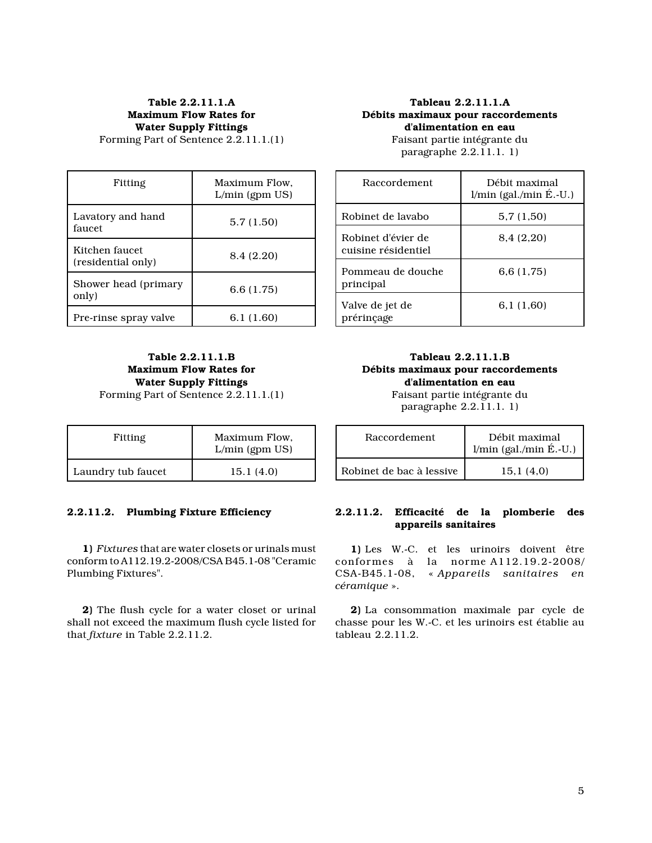## **Table 2.2.11.1.A Maximum Flow Rates for Water Supply Fittings**

Forming Part of Sentence 2.2.11.1.(1)

#### **Tableau 2.2.11.1.A Débits maximaux pour raccordements d'alimentation en eau**

| Fitting                              | Maximum Flow.<br>$L/min$ (gpm $US$ ) |     |
|--------------------------------------|--------------------------------------|-----|
| Lavatory and hand                    | 5.7(1.50)                            | Ro  |
| faucet                               |                                      | Ro  |
| Kitchen faucet<br>(residential only) | 8.4 (2.20)                           | cu: |
|                                      |                                      | Po  |
| Shower head (primary<br>only)        | 6.6(1.75)                            | pr: |
|                                      |                                      | Va  |
| Pre-rinse spray valve                | 6.1(1.60)                            | pr۱ |

Faisant partie intégrante du paragraphe 2.2.11.1. 1)

#### Raccordement Débit maximal  $l/min$  (gal./min  $\acute{E}.$ -U.) binet de lavabo $5,7$  (1,50) binet d'évier de isine résidentiel 8,4 (2,20) mmeau de douche incipal 6,6 (1,75) lve de jet de érinçage 6,1 (1,60)

#### **Table 2.2.11.1.B Maximum Flow Rates for Water Supply Fittings** Forming Part of Sentence 2.2.11.1.(1)

| Fitting            | Maximum Flow.<br>$L/min$ (gpm $US$ ) |
|--------------------|--------------------------------------|
| Laundry tub faucet | 15.1 (4.0)                           |

### **2.2.11.2. Plumbing Fixture Efficiency**

**1)** *Fixtures* that are water closets or urinals must conform to A112.19.2-2008/CSA B45.1-08 "Ceramic Plumbing Fixtures".

**2)** The flush cycle for a water closet or urinal shall not exceed the maximum flush cycle listed for that *fixture* in Table 2.2.11.2.

# **Tableau 2.2.11.1.B d'alimentation en eau** Faisant partie intégrante du

**Débits maximaux pour raccordements** paragraphe 2.2.11.1. 1)

| Raccordement             | Débit maximal<br>$l/min$ (gal./min $\acute{E}.$ -U.) |
|--------------------------|------------------------------------------------------|
| Robinet de bac à lessive | 15.1(4.0)                                            |

#### **2.2.11.2. Efficacité de la plomberie des appareils sanitaires**

**1)** Les W.-C. et les urinoirs doivent être conformes à la norme A112.19.2-2008/ CSA-B45.1-08, « *Appareils sanitaires en céramique* ».

**2)** La consommation maximale par cycle de chasse pour les W.-C. et les urinoirs est établie au tableau 2.2.11.2.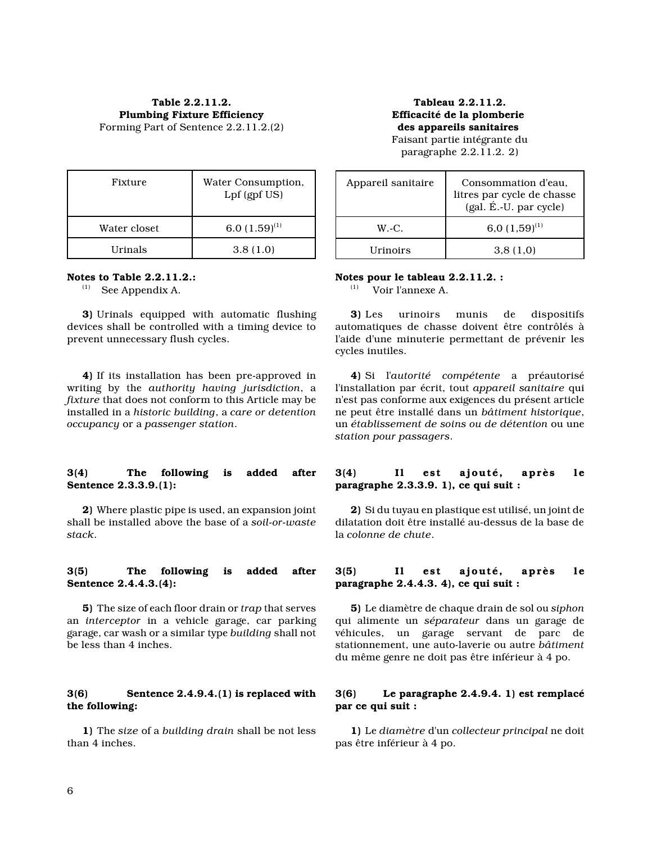**Table 2.2.11.2. Plumbing Fixture Efficiency** Forming Part of Sentence 2.2.11.2.(2)

**Tableau 2.2.11.2. Efficacité de la plomberie des appareils sanitaires** 

Faisant partie intégrante du paragraphe 2.2.11.2. 2)

| Fixture      | Water Consumption,<br>Lpf (gpf US) |
|--------------|------------------------------------|
| Water closet | 6.0 $(1.59)^{(1)}$                 |
| Urinals      | 3.8(1.0)                           |

#### **Notes to Table 2.2.11.2.:**

(1) See Appendix A.

**3)** Urinals equipped with automatic flushing devices shall be controlled with a timing device to prevent unnecessary flush cycles.

**4)** If its installation has been pre-approved in writing by the *authority having jurisdiction*, a *fixture* that does not conform to this Article may be installed in a *historic building*, a *care or detention occupancy* or a *passenger station*.

#### **3(4) The following is added after Sentence 2.3.3.9.(1):**

**2)** Where plastic pipe is used, an expansion joint shall be installed above the base of a *soil-or-waste stack*.

#### **3(5) The following is added after Sentence 2.4.4.3.(4):**

**5)** The size of each floor drain or *trap* that serves an *interceptor* in a vehicle garage, car parking garage, car wash or a similar type *building* shall not be less than 4 inches.

#### **3(6) Sentence 2.4.9.4.(1) is replaced with the following:**

**1)** The *size* of a *building drain* shall be not less than 4 inches.

| Appareil sanitaire      | Consommation d'eau,<br>litres par cycle de chasse<br>(gal. É.-U. par cycle) |
|-------------------------|-----------------------------------------------------------------------------|
| $W.-C.$                 | 6,0 $(1,59)^{(1)}$                                                          |
| <i><u>IIrinoirs</u></i> | 3,8(1,0)                                                                    |

# Notes pour le tableau 2.2.11.2. :<br>
Weir l'enneve A

(1) Voir l'annexe A.

**3)** Les urinoirs munis de dispositifs automatiques de chasse doivent être contrôlés à l'aide d'une minuterie permettant de prévenir les cycles inutiles.

**4)** Si l'*autorité compétente* a préautorisé l'installation par écrit, tout *appareil sanitaire* qui n'est pas conforme aux exigences du présent article ne peut être installé dans un *bâtiment historique*, un *établissement de soins ou de détention* ou une *station pour passagers*.

#### **3(4) Il est ajouté, après le paragraphe 2.3.3.9. 1), ce qui suit :**

**2)** Si du tuyau en plastique est utilisé, un joint de dilatation doit être installé au-dessus de la base de la *colonne de chute*.

#### **3(5) Il est ajouté, après le paragraphe 2.4.4.3. 4), ce qui suit :**

**5)** Le diamètre de chaque drain de sol ou *siphon* qui alimente un *séparateur* dans un garage de véhicules, un garage servant de parc de stationnement, une auto-laverie ou autre *bâtiment* du même genre ne doit pas être inférieur à 4 po.

#### **3(6) Le paragraphe 2.4.9.4. 1) est remplacé par ce qui suit :**

**1)** Le *diamètre* d'un *collecteur principal* ne doit pas être inférieur à 4 po.